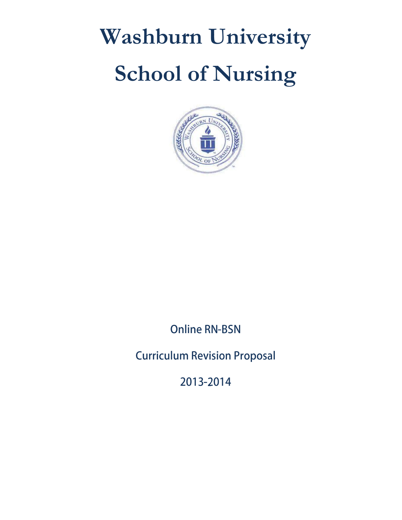# **Washburn University School of Nursing**



**Online RN-BSN** 

**Curriculum Revision Proposal** 

2013-2014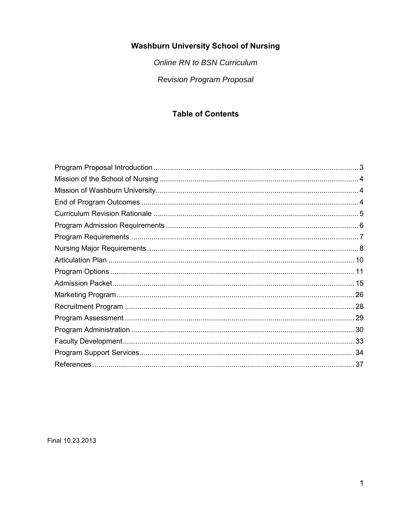## **Washburn University School of Nursing**

Online RN to BSN Curriculum **Revision Program Proposal** 

## **Table of Contents**

Final 10.23.2013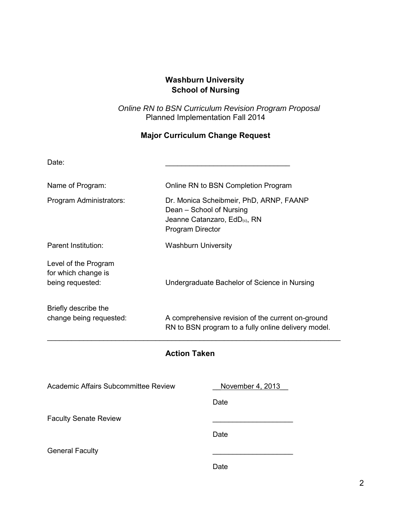## **Washburn University School of Nursing**

*Online RN to BSN Curriculum Revision Program Proposal*  Planned Implementation Fall 2014

## **Major Curriculum Change Request**

| Date:                                                           |                                                                                                                                |
|-----------------------------------------------------------------|--------------------------------------------------------------------------------------------------------------------------------|
| Name of Program:                                                | Online RN to BSN Completion Program                                                                                            |
| Program Administrators:                                         | Dr. Monica Scheibmeir, PhD, ARNP, FAANP<br>Dean - School of Nursing<br>Jeanne Catanzaro, EdD(c), RN<br><b>Program Director</b> |
| Parent Institution:                                             | <b>Washburn University</b>                                                                                                     |
| Level of the Program<br>for which change is<br>being requested: | Undergraduate Bachelor of Science in Nursing                                                                                   |
| Briefly describe the<br>change being requested:                 | A comprehensive revision of the current on-ground<br>RN to BSN program to a fully online delivery model.                       |
|                                                                 | <b>Action Taken</b>                                                                                                            |
| Academic Affairs Subcommittee Review                            | November 4, 2013                                                                                                               |

**Date Date Date** 

Faculty Senate Review

**Date Date Date** 

General Faculty

**Date Date Date**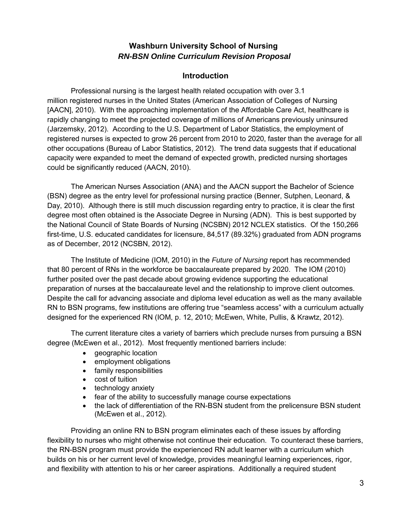## **Washburn University School of Nursing** *RN-BSN Online Curriculum Revision Proposal*

## **Introduction**

Professional nursing is the largest health related occupation with over 3.1 million registered nurses in the United States (American Association of Colleges of Nursing [AACN], 2010). With the approaching implementation of the Affordable Care Act, healthcare is rapidly changing to meet the projected coverage of millions of Americans previously uninsured (Jarzemsky, 2012). According to the U.S. Department of Labor Statistics, the employment of registered nurses is expected to grow 26 percent from 2010 to 2020, faster than the average for all other occupations (Bureau of Labor Statistics, 2012). The trend data suggests that if educational capacity were expanded to meet the demand of expected growth, predicted nursing shortages could be significantly reduced (AACN, 2010).

 The American Nurses Association (ANA) and the AACN support the Bachelor of Science (BSN) degree as the entry level for professional nursing practice (Benner, Sutphen, Leonard, & Day, 2010). Although there is still much discussion regarding entry to practice, it is clear the first degree most often obtained is the Associate Degree in Nursing (ADN). This is best supported by the National Council of State Boards of Nursing (NCSBN) 2012 NCLEX statistics. Of the 150,266 first-time, U.S. educated candidates for licensure, 84,517 (89.32%) graduated from ADN programs as of December, 2012 (NCSBN, 2012).

 The Institute of Medicine (IOM, 2010) in the *Future of Nursing* report has recommended that 80 percent of RNs in the workforce be baccalaureate prepared by 2020. The IOM (2010) further posited over the past decade about growing evidence supporting the educational preparation of nurses at the baccalaureate level and the relationship to improve client outcomes. Despite the call for advancing associate and diploma level education as well as the many available RN to BSN programs, few institutions are offering true "seamless access" with a curriculum actually designed for the experienced RN (IOM, p. 12, 2010; McEwen, White, Pullis, & Krawtz, 2012).

The current literature cites a variety of barriers which preclude nurses from pursuing a BSN degree (McEwen et al., 2012). Most frequently mentioned barriers include:

- geographic location
- employment obligations
- family responsibilities
- cost of tuition
- technology anxiety
- fear of the ability to successfully manage course expectations
- the lack of differentiation of the RN-BSN student from the prelicensure BSN student (McEwen et al., 2012).

Providing an online RN to BSN program eliminates each of these issues by affording flexibility to nurses who might otherwise not continue their education. To counteract these barriers, the RN-BSN program must provide the experienced RN adult learner with a curriculum which builds on his or her current level of knowledge, provides meaningful learning experiences, rigor, and flexibility with attention to his or her career aspirations. Additionally a required student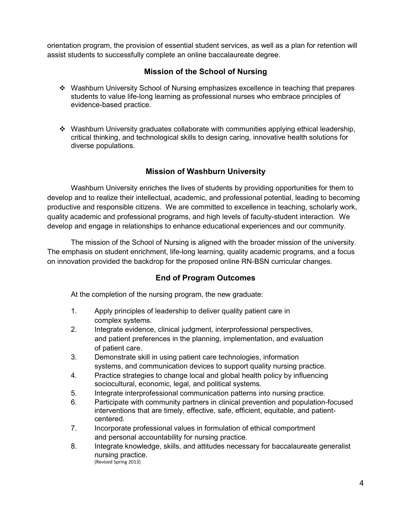orientation program, the provision of essential student services, as well as a plan for retention will assist students to successfully complete an online baccalaureate degree.

## **Mission of the School of Nursing**

- Washburn University School of Nursing emphasizes excellence in teaching that prepares students to value life-long learning as professional nurses who embrace principles of evidence-based practice.
- Washburn University graduates collaborate with communities applying ethical leadership, critical thinking, and technological skills to design caring, innovative health solutions for diverse populations.

## **Mission of Washburn University**

Washburn University enriches the lives of students by providing opportunities for them to develop and to realize their intellectual, academic, and professional potential, leading to becoming productive and responsible citizens. We are committed to excellence in teaching, scholarly work, quality academic and professional programs, and high levels of faculty-student interaction. We develop and engage in relationships to enhance educational experiences and our community.

The mission of the School of Nursing is aligned with the broader mission of the university. The emphasis on student enrichment, life-long learning, quality academic programs, and a focus on innovation provided the backdrop for the proposed online RN-BSN curricular changes.

## **End of Program Outcomes**

At the completion of the nursing program, the new graduate:

- 1. Apply principles of leadership to deliver quality patient care in complex systems.
- 2. Integrate evidence, clinical judgment, interprofessional perspectives, and patient preferences in the planning, implementation, and evaluation of patient care.
- 3. Demonstrate skill in using patient care technologies, information systems, and communication devices to support quality nursing practice.
- 4. Practice strategies to change local and global health policy by influencing sociocultural, economic, legal, and political systems.
- 5. Integrate interprofessional communication patterns into nursing practice.
- 6. Participate with community partners in clinical prevention and population-focused interventions that are timely, effective, safe, efficient, equitable, and patientcentered.
- 7. Incorporate professional values in formulation of ethical comportment and personal accountability for nursing practice.
- 8. Integrate knowledge, skills, and attitudes necessary for baccalaureate generalist nursing practice. (Revised Spring 2013)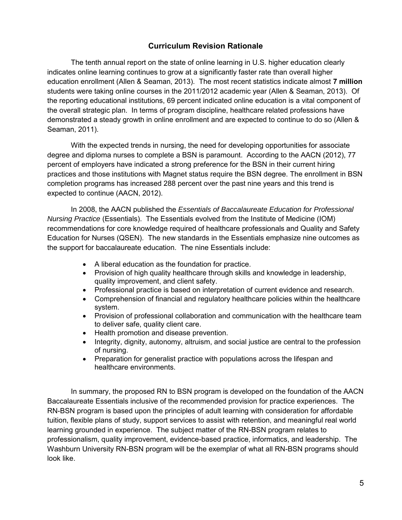## **Curriculum Revision Rationale**

The tenth annual report on the state of online learning in U.S. higher education clearly indicates online learning continues to grow at a significantly faster rate than overall higher education enrollment (Allen & Seaman, 2013). The most recent statistics indicate almost **7 million** students were taking online courses in the 2011/2012 academic year (Allen & Seaman, 2013). Of the reporting educational institutions, 69 percent indicated online education is a vital component of the overall strategic plan. In terms of program discipline, healthcare related professions have demonstrated a steady growth in online enrollment and are expected to continue to do so (Allen & Seaman, 2011).

With the expected trends in nursing, the need for developing opportunities for associate degree and diploma nurses to complete a BSN is paramount. According to the AACN (2012), 77 percent of employers have indicated a strong preference for the BSN in their current hiring practices and those institutions with Magnet status require the BSN degree. The enrollment in BSN completion programs has increased 288 percent over the past nine years and this trend is expected to continue (AACN, 2012).

In 2008, the AACN published the *Essentials of Baccalaureate Education for Professional Nursing Practice* (Essentials). The Essentials evolved from the Institute of Medicine (IOM) recommendations for core knowledge required of healthcare professionals and Quality and Safety Education for Nurses (QSEN). The new standards in the Essentials emphasize nine outcomes as the support for baccalaureate education. The nine Essentials include:

- A liberal education as the foundation for practice.
- Provision of high quality healthcare through skills and knowledge in leadership, quality improvement, and client safety.
- Professional practice is based on interpretation of current evidence and research.
- Comprehension of financial and regulatory healthcare policies within the healthcare system.
- Provision of professional collaboration and communication with the healthcare team to deliver safe, quality client care.
- Health promotion and disease prevention.
- Integrity, dignity, autonomy, altruism, and social justice are central to the profession of nursing.
- Preparation for generalist practice with populations across the lifespan and healthcare environments.

In summary, the proposed RN to BSN program is developed on the foundation of the AACN Baccalaureate Essentials inclusive of the recommended provision for practice experiences. The RN-BSN program is based upon the principles of adult learning with consideration for affordable tuition, flexible plans of study, support services to assist with retention, and meaningful real world learning grounded in experience. The subject matter of the RN-BSN program relates to professionalism, quality improvement, evidence-based practice, informatics, and leadership. The Washburn University RN-BSN program will be the exemplar of what all RN-BSN programs should look like.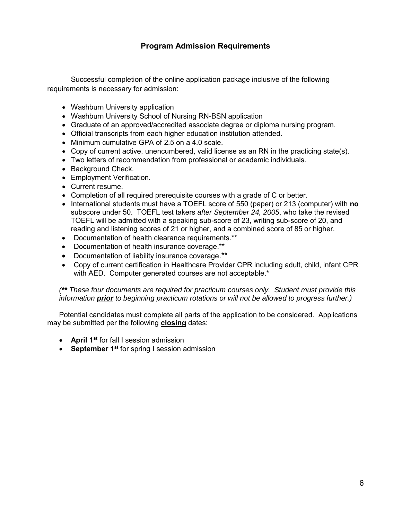## **Program Admission Requirements**

Successful completion of the online application package inclusive of the following requirements is necessary for admission:

- Washburn University application
- Washburn University School of Nursing RN-BSN application
- Graduate of an approved/accredited associate degree or diploma nursing program.
- Official transcripts from each higher education institution attended.
- Minimum cumulative GPA of 2.5 on a 4.0 scale.
- Copy of current active, unencumbered, valid license as an RN in the practicing state(s).
- Two letters of recommendation from professional or academic individuals.
- Background Check.
- Employment Verification.
- Current resume.
- Completion of all required prerequisite courses with a grade of C or better.
- International students must have a TOEFL score of 550 (paper) or 213 (computer) with **no** subscore under 50. TOEFL test takers *after September 24, 2005*, who take the revised TOEFL will be admitted with a speaking sub-score of 23, writing sub-score of 20, and reading and listening scores of 21 or higher, and a combined score of 85 or higher.
- Documentation of health clearance requirements.\*\*
- Documentation of health insurance coverage.\*\*
- Documentation of liability insurance coverage.\*\*
- Copy of current certification in Healthcare Provider CPR including adult, child, infant CPR with AED. Computer generated courses are not acceptable.\*

*(\*\* These four documents are required for practicum courses only. Student must provide this information prior to beginning practicum rotations or will not be allowed to progress further.)* 

Potential candidates must complete all parts of the application to be considered. Applications may be submitted per the following **closing** dates:

- **April 1st** for fall I session admission
- **September 1st** for spring I session admission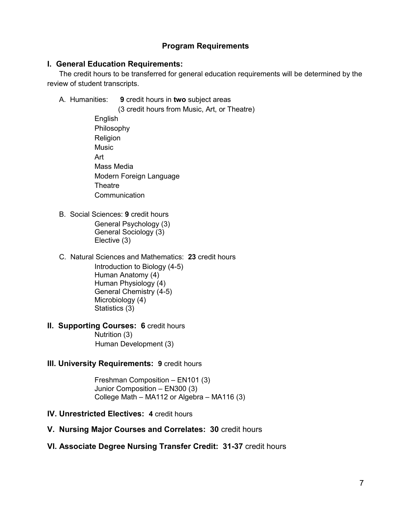## **Program Requirements**

#### **I. General Education Requirements:**

The credit hours to be transferred for general education requirements will be determined by the review of student transcripts.

- A. Humanities: **9** credit hours in **two** subject areas
	- (3 credit hours from Music, Art, or Theatre) English Philosophy Religion **Music**  Art Mass Media Modern Foreign Language **Theatre Communication**
- B. Social Sciences: **9** credit hours General Psychology (3) General Sociology (3) Elective (3)
- C. Natural Sciences and Mathematics: **23** credit hours Introduction to Biology (4-5) Human Anatomy (4) Human Physiology (4) General Chemistry (4-5) Microbiology (4) Statistics (3)
- **II. Supporting Courses: 6** credit hours Nutrition (3)

Human Development (3)

**III. University Requirements: 9 credit hours** 

Freshman Composition – EN101 (3) Junior Composition – EN300 (3) College Math – MA112 or Algebra – MA116 (3)

- **IV. Unrestricted Electives: 4** credit hours
- **V. Nursing Major Courses and Correlates: 30** credit hours
- **VI. Associate Degree Nursing Transfer Credit: 31-37** credit hours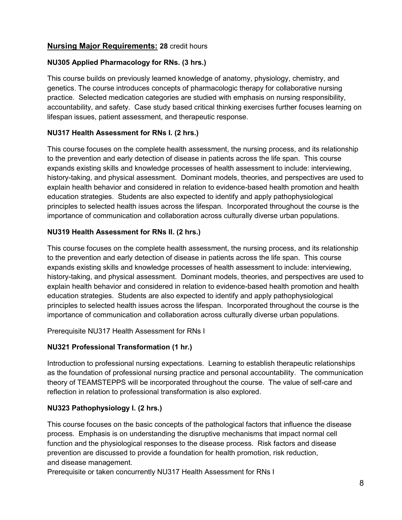## **Nursing Major Requirements: 28** credit hours

## **NU305 Applied Pharmacology for RNs. (3 hrs.)**

This course builds on previously learned knowledge of anatomy, physiology, chemistry, and genetics. The course introduces concepts of pharmacologic therapy for collaborative nursing practice. Selected medication categories are studied with emphasis on nursing responsibility, accountability, and safety. Case study based critical thinking exercises further focuses learning on lifespan issues, patient assessment, and therapeutic response.

## **NU317 Health Assessment for RNs I. (2 hrs.)**

This course focuses on the complete health assessment, the nursing process, and its relationship to the prevention and early detection of disease in patients across the life span. This course expands existing skills and knowledge processes of health assessment to include: interviewing, history-taking, and physical assessment. Dominant models, theories, and perspectives are used to explain health behavior and considered in relation to evidence-based health promotion and health education strategies. Students are also expected to identify and apply pathophysiological principles to selected health issues across the lifespan. Incorporated throughout the course is the importance of communication and collaboration across culturally diverse urban populations.

#### **NU319 Health Assessment for RNs II. (2 hrs.)**

This course focuses on the complete health assessment, the nursing process, and its relationship to the prevention and early detection of disease in patients across the life span. This course expands existing skills and knowledge processes of health assessment to include: interviewing, history-taking, and physical assessment. Dominant models, theories, and perspectives are used to explain health behavior and considered in relation to evidence-based health promotion and health education strategies. Students are also expected to identify and apply pathophysiological principles to selected health issues across the lifespan. Incorporated throughout the course is the importance of communication and collaboration across culturally diverse urban populations.

Prerequisite NU317 Health Assessment for RNs I

#### **NU321 Professional Transformation (1 hr.)**

Introduction to professional nursing expectations. Learning to establish therapeutic relationships as the foundation of professional nursing practice and personal accountability. The communication theory of TEAMSTEPPS will be incorporated throughout the course. The value of self-care and reflection in relation to professional transformation is also explored.

## **NU323 Pathophysiology I. (2 hrs.)**

This course focuses on the basic concepts of the pathological factors that influence the disease process. Emphasis is on understanding the disruptive mechanisms that impact normal cell function and the physiological responses to the disease process. Risk factors and disease prevention are discussed to provide a foundation for health promotion, risk reduction, and disease management.

Prerequisite or taken concurrently NU317 Health Assessment for RNs I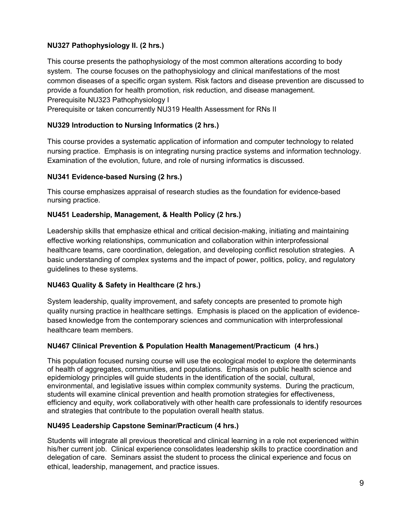## **NU327 Pathophysiology II. (2 hrs.)**

This course presents the pathophysiology of the most common alterations according to body system. The course focuses on the pathophysiology and clinical manifestations of the most common diseases of a specific organ system. Risk factors and disease prevention are discussed to provide a foundation for health promotion, risk reduction, and disease management. Prerequisite NU323 Pathophysiology I

Prerequisite or taken concurrently NU319 Health Assessment for RNs II

#### **NU329 Introduction to Nursing Informatics (2 hrs.)**

This course provides a systematic application of information and computer technology to related nursing practice. Emphasis is on integrating nursing practice systems and information technology. Examination of the evolution, future, and role of nursing informatics is discussed.

#### **NU341 Evidence-based Nursing (2 hrs.)**

This course emphasizes appraisal of research studies as the foundation for evidence-based nursing practice.

#### **NU451 Leadership, Management, & Health Policy (2 hrs.)**

Leadership skills that emphasize ethical and critical decision-making, initiating and maintaining effective working relationships, communication and collaboration within interprofessional healthcare teams, care coordination, delegation, and developing conflict resolution strategies. A basic understanding of complex systems and the impact of power, politics, policy, and regulatory guidelines to these systems.

#### **NU463 Quality & Safety in Healthcare (2 hrs.)**

System leadership, quality improvement, and safety concepts are presented to promote high quality nursing practice in healthcare settings. Emphasis is placed on the application of evidencebased knowledge from the contemporary sciences and communication with interprofessional healthcare team members.

#### **NU467 Clinical Prevention & Population Health Management/Practicum (4 hrs.)**

This population focused nursing course will use the ecological model to explore the determinants of health of aggregates, communities, and populations. Emphasis on public health science and epidemiology principles will guide students in the identification of the social, cultural, environmental, and legislative issues within complex community systems. During the practicum, students will examine clinical prevention and health promotion strategies for effectiveness, efficiency and equity, work collaboratively with other health care professionals to identify resources and strategies that contribute to the population overall health status.

#### **NU495 Leadership Capstone Seminar/Practicum (4 hrs.)**

Students will integrate all previous theoretical and clinical learning in a role not experienced within his/her current job. Clinical experience consolidates leadership skills to practice coordination and delegation of care. Seminars assist the student to process the clinical experience and focus on ethical, leadership, management, and practice issues.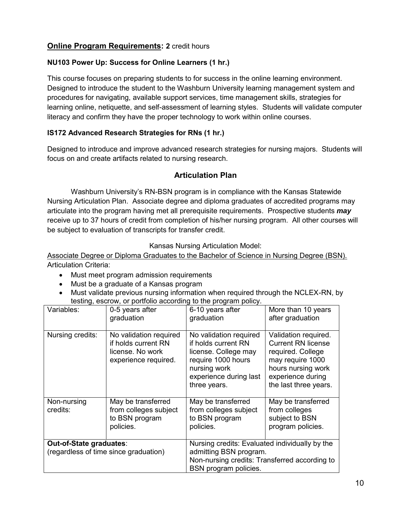## **Online Program Requirements: 2** credit hours

#### **NU103 Power Up: Success for Online Learners (1 hr.)**

This course focuses on preparing students to for success in the online learning environment. Designed to introduce the student to the Washburn University learning management system and procedures for navigating, available support services, time management skills, strategies for learning online, netiquette, and self-assessment of learning styles. Students will validate computer literacy and confirm they have the proper technology to work within online courses.

## **IS172 Advanced Research Strategies for RNs (1 hr.)**

Designed to introduce and improve advanced research strategies for nursing majors. Students will focus on and create artifacts related to nursing research.

## **Articulation Plan**

Washburn University's RN-BSN program is in compliance with the Kansas Statewide Nursing Articulation Plan. Associate degree and diploma graduates of accredited programs may articulate into the program having met all prerequisite requirements. Prospective students *may* receive up to 37 hours of credit from completion of his/her nursing program. All other courses will be subject to evaluation of transcripts for transfer credit.

Kansas Nursing Articulation Model:

Associate Degree or Diploma Graduates to the Bachelor of Science in Nursing Degree (BSN). Articulation Criteria:

- Must meet program admission requirements
- Must be a graduate of a Kansas program
- Must validate previous nursing information when required through the NCLEX-RN, by testing, escrow, or portfolio according to the program policy.

| Variables:              | 0-5 years after<br>graduation                                                             | 6-10 years after<br>graduation                                                                                                                        | More than 10 years<br>after graduation                                                                                                                         |  |
|-------------------------|-------------------------------------------------------------------------------------------|-------------------------------------------------------------------------------------------------------------------------------------------------------|----------------------------------------------------------------------------------------------------------------------------------------------------------------|--|
| Nursing credits:        | No validation required<br>if holds current RN<br>license. No work<br>experience required. | No validation required<br>if holds current RN<br>license. College may<br>require 1000 hours<br>nursing work<br>experience during last<br>three years. | Validation required.<br><b>Current RN license</b><br>required. College<br>may require 1000<br>hours nursing work<br>experience during<br>the last three years. |  |
| Non-nursing<br>credits: | May be transferred<br>from colleges subject<br>to BSN program<br>policies.                | May be transferred<br>from colleges subject<br>to BSN program<br>policies.                                                                            | May be transferred<br>from colleges<br>subject to BSN<br>program policies.                                                                                     |  |
| Out-of-State graduates: | (regardless of time since graduation)                                                     | Nursing credits: Evaluated individually by the<br>admitting BSN program.<br>Non-nursing credits: Transferred according to<br>BSN program policies.    |                                                                                                                                                                |  |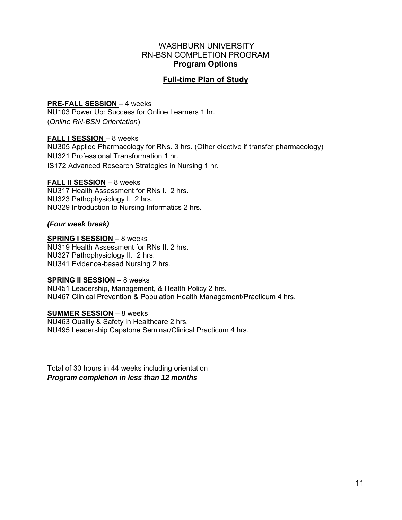#### WASHBURN UNIVERSITY RN-BSN COMPLETION PROGRAM **Program Options**

## **Full-time Plan of Study**

#### **PRE-FALL SESSION** – 4 weeks

NU103 Power Up: Success for Online Learners 1 hr. (*Online RN-BSN Orientation*)

#### **FALL I SESSION** – 8 weeks

NU305 Applied Pharmacology for RNs. 3 hrs. (Other elective if transfer pharmacology) NU321 Professional Transformation 1 hr. IS172 Advanced Research Strategies in Nursing 1 hr.

#### **FALL II SESSION** – 8 weeks

NU317 Health Assessment for RNs I. 2 hrs. NU323 Pathophysiology I. 2 hrs. NU329 Introduction to Nursing Informatics 2 hrs.

#### *(Four week break)*

#### **SPRING I SESSION** – 8 weeks

NU319 Health Assessment for RNs II. 2 hrs. NU327 Pathophysiology II. 2 hrs. NU341 Evidence-based Nursing 2 hrs.

#### **SPRING II SESSION** – 8 weeks

NU451 Leadership, Management, & Health Policy 2 hrs. NU467 Clinical Prevention & Population Health Management/Practicum 4 hrs.

#### **SUMMER SESSION** – 8 weeks

NU463 Quality & Safety in Healthcare 2 hrs. NU495 Leadership Capstone Seminar/Clinical Practicum 4 hrs.

Total of 30 hours in 44 weeks including orientation *Program completion in less than 12 months*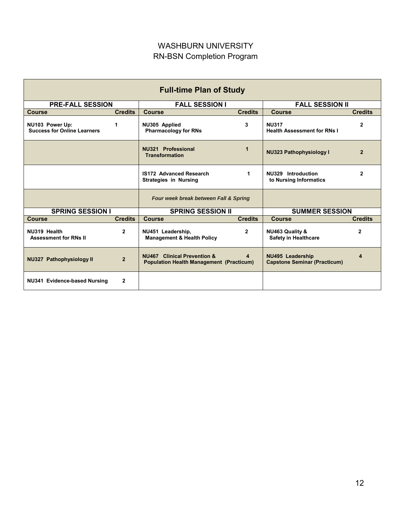## WASHBURN UNIVERSITY RN-BSN Completion Program

| <b>Full-time Plan of Study</b>                        |                |                                                                                       |                |                                                                |                |
|-------------------------------------------------------|----------------|---------------------------------------------------------------------------------------|----------------|----------------------------------------------------------------|----------------|
| <b>PRE-FALL SESSION</b>                               |                | <b>FALL SESSION I</b>                                                                 |                | <b>FALL SESSION II</b>                                         |                |
| <b>Course</b>                                         | <b>Credits</b> | <b>Course</b>                                                                         | <b>Credits</b> | <b>Course</b>                                                  | <b>Credits</b> |
| NU103 Power Up:<br><b>Success for Online Learners</b> | 1              | NU305 Applied<br><b>Pharmacology for RNs</b>                                          | 3              | <b>NU317</b><br><b>Health Assessment for RNs I</b>             | $\mathbf{2}$   |
|                                                       |                | NU321 Professional<br><b>Transformation</b>                                           | $\overline{1}$ | <b>NU323 Pathophysiology I</b>                                 | $\mathbf{2}$   |
|                                                       |                | <b>IS172 Advanced Research</b><br><b>Strategies in Nursing</b>                        | 1.             |                                                                | 2              |
|                                                       |                | Four week break between Fall & Spring                                                 |                |                                                                |                |
| <b>SPRING SESSION I</b>                               |                | <b>SPRING SESSION II</b>                                                              |                | <b>SUMMER SESSION</b>                                          |                |
| <b>Course</b>                                         | <b>Credits</b> | <b>Course</b>                                                                         | <b>Credits</b> | <b>Course</b>                                                  | <b>Credits</b> |
| NU319 Health<br><b>Assessment for RNs II</b>          | $\overline{2}$ | NU451 Leadership,<br><b>Management &amp; Health Policy</b>                            | $\mathbf{2}$   | NU463 Quality &<br><b>Safety in Healthcare</b>                 | $\mathbf{2}$   |
| <b>NU327 Pathophysiology II</b>                       | $\overline{2}$ | <b>NU467</b> Clinical Prevention &<br><b>Population Health Management (Practicum)</b> | $\overline{4}$ | <b>NU495 Leadership</b><br><b>Capstone Seminar (Practicum)</b> | 4              |
| NU341 Evidence-based Nursing                          | 2              |                                                                                       |                |                                                                |                |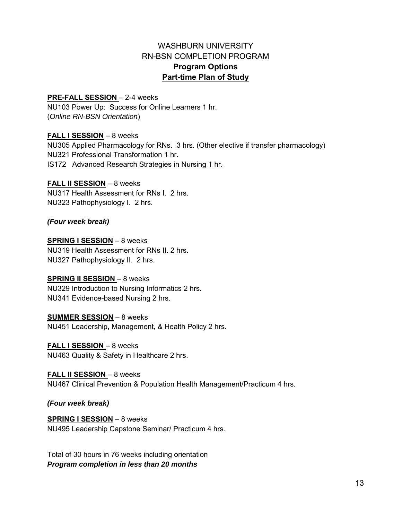## WASHBURN UNIVERSITY RN-BSN COMPLETION PROGRAM **Program Options Part-time Plan of Study**

#### **PRE-FALL SESSION** – 2-4 weeks

NU103 Power Up: Success for Online Learners 1 hr. (*Online RN-BSN Orientation*)

#### **FALL I SESSION** – 8 weeks

NU305 Applied Pharmacology for RNs. 3 hrs. (Other elective if transfer pharmacology) NU321 Professional Transformation 1 hr. IS172 Advanced Research Strategies in Nursing 1 hr.

#### **FALL II SESSION** – 8 weeks

NU317 Health Assessment for RNs I. 2 hrs. NU323 Pathophysiology I. 2 hrs.

#### *(Four week break)*

#### **SPRING I SESSION** – 8 weeks

NU319 Health Assessment for RNs II. 2 hrs. NU327 Pathophysiology II. 2 hrs.

#### **SPRING II SESSION** – 8 weeks

NU329 Introduction to Nursing Informatics 2 hrs. NU341 Evidence-based Nursing 2 hrs.

#### **SUMMER SESSION** – 8 weeks

NU451 Leadership, Management, & Health Policy 2 hrs.

#### **FALL I SESSION** – 8 weeks

NU463 Quality & Safety in Healthcare 2 hrs.

#### **FALL II SESSION** – 8 weeks

NU467 Clinical Prevention & Population Health Management/Practicum 4 hrs.

#### *(Four week break)*

#### **SPRING I SESSION** – 8 weeks

NU495 Leadership Capstone Seminar/ Practicum 4 hrs.

Total of 30 hours in 76 weeks including orientation *Program completion in less than 20 months*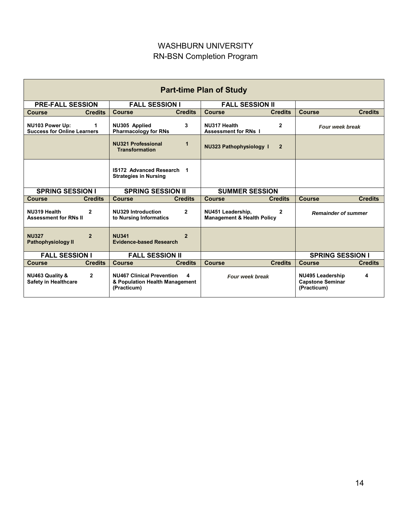## WASHBURN UNIVERSITY RN-BSN Completion Program

| <b>Part-time Plan of Study</b>                                            |                                                                                        |                                                                            |                                                                        |  |
|---------------------------------------------------------------------------|----------------------------------------------------------------------------------------|----------------------------------------------------------------------------|------------------------------------------------------------------------|--|
| <b>PRE-FALL SESSION</b>                                                   | <b>FALL SESSION I</b>                                                                  | <b>FALL SESSION II</b>                                                     |                                                                        |  |
| <b>Credits</b><br><b>Course</b>                                           | <b>Course</b><br><b>Credits</b>                                                        | <b>Course</b><br><b>Credits</b>                                            | <b>Course</b><br><b>Credits</b>                                        |  |
| NU103 Power Up:<br>1.<br><b>Success for Online Learners</b>               | NU305 Applied<br>3<br><b>Pharmacology for RNs</b>                                      | NU317 Health<br>$\mathbf{2}$<br><b>Assessment for RNs I</b>                | <b>Four week break</b>                                                 |  |
|                                                                           | <b>NU321 Professional</b><br>1<br><b>Transformation</b>                                | <b>NU323 Pathophysiology 1</b><br>$\overline{2}$                           |                                                                        |  |
|                                                                           | IS172 Advanced Research 1<br><b>Strategies in Nursing</b>                              |                                                                            |                                                                        |  |
| <b>SPRING SESSION I</b>                                                   | <b>SPRING SESSION II</b>                                                               | <b>SUMMER SESSION</b>                                                      |                                                                        |  |
| <b>Credits</b><br><b>Course</b>                                           | <b>Credits</b><br><b>Course</b>                                                        | <b>Course</b><br><b>Credits</b>                                            | <b>Course</b><br><b>Credits</b>                                        |  |
| NU319 Health<br>$\overline{2}$<br><b>Assessment for RNs II</b>            | <b>NU329 Introduction</b><br>$\mathbf{2}$<br>to Nursing Informatics                    | NU451 Leadership,<br>$\mathbf{2}$<br><b>Management &amp; Health Policy</b> | <b>Remainder of summer</b>                                             |  |
| <b>NU327</b><br>$\overline{2}$<br>Pathophysiology II                      | <b>NU341</b><br>$\overline{2}$<br><b>Evidence-based Research</b>                       |                                                                            |                                                                        |  |
| <b>FALL SESSION I</b><br><b>FALL SESSION II</b>                           |                                                                                        |                                                                            | <b>SPRING SESSION I</b>                                                |  |
| <b>Credits</b><br><b>Course</b>                                           | <b>Credits</b><br><b>Course</b>                                                        | <b>Credits</b><br><b>Course</b>                                            | <b>Course</b><br><b>Credits</b>                                        |  |
| <b>NU463 Quality &amp;</b><br>$\mathbf{2}$<br><b>Safety in Healthcare</b> | <b>NU467 Clinical Prevention</b><br>4<br>& Population Health Management<br>(Practicum) | <b>Four week break</b>                                                     | <b>NU495 Leadership</b><br>4<br><b>Capstone Seminar</b><br>(Practicum) |  |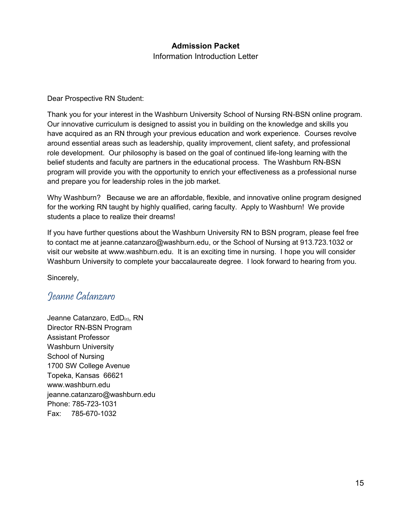## **Admission Packet**

Information Introduction Letter

Dear Prospective RN Student:

Thank you for your interest in the Washburn University School of Nursing RN-BSN online program. Our innovative curriculum is designed to assist you in building on the knowledge and skills you have acquired as an RN through your previous education and work experience. Courses revolve around essential areas such as leadership, quality improvement, client safety, and professional role development. Our philosophy is based on the goal of continued life-long learning with the belief students and faculty are partners in the educational process. The Washburn RN-BSN program will provide you with the opportunity to enrich your effectiveness as a professional nurse and prepare you for leadership roles in the job market.

Why Washburn? Because we are an affordable, flexible, and innovative online program designed for the working RN taught by highly qualified, caring faculty. Apply to Washburn! We provide students a place to realize their dreams!

If you have further questions about the Washburn University RN to BSN program, please feel free to contact me at jeanne.catanzaro@washburn.edu, or the School of Nursing at 913.723.1032 or visit our website at www.washburn.edu. It is an exciting time in nursing. I hope you will consider Washburn University to complete your baccalaureate degree. I look forward to hearing from you.

Sincerely,

## Jeanne Catanzaro

Jeanne Catanzaro, EdD<sub>(c)</sub>, RN Director RN-BSN Program Assistant Professor Washburn University School of Nursing 1700 SW College Avenue Topeka, Kansas 66621 www.washburn.edu jeanne.catanzaro@washburn.edu Phone: 785-723-1031 Fax: 785-670-1032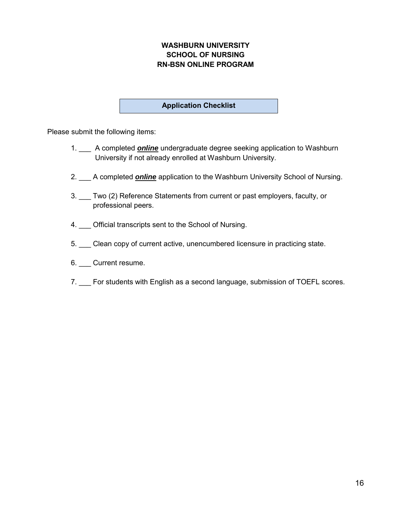## **WASHBURN UNIVERSITY SCHOOL OF NURSING RN-BSN ONLINE PROGRAM**

#### **Application Checklist**

Please submit the following items:

- 1. \_\_\_ A completed *online* undergraduate degree seeking application to Washburn University if not already enrolled at Washburn University.
- 2. \_\_\_ A completed *online* application to the Washburn University School of Nursing.
- 3. \_\_\_ Two (2) Reference Statements from current or past employers, faculty, or professional peers.
- 4. Official transcripts sent to the School of Nursing.
- 5. \_\_\_ Clean copy of current active, unencumbered licensure in practicing state.
- 6. \_\_\_ Current resume.
- 7. For students with English as a second language, submission of TOEFL scores.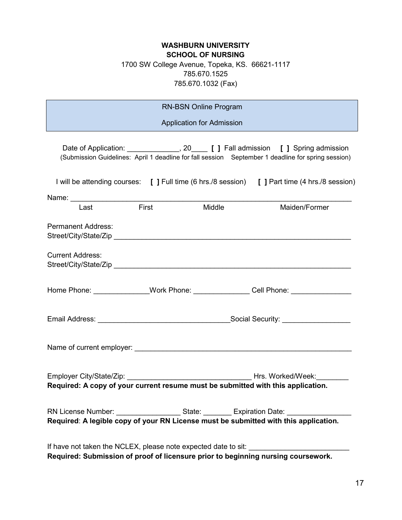## **WASHBURN UNIVERSITY SCHOOL OF NURSING**  1700 SW College Avenue, Topeka, KS. 66621-1117 785.670.1525 785.670.1032 (Fax)

| <b>RN-BSN Online Program</b>                                                     |                   |                                  |  |                                                                                                                                                                                                       |
|----------------------------------------------------------------------------------|-------------------|----------------------------------|--|-------------------------------------------------------------------------------------------------------------------------------------------------------------------------------------------------------|
|                                                                                  |                   | <b>Application for Admission</b> |  |                                                                                                                                                                                                       |
|                                                                                  |                   |                                  |  | Date of Application: _______________, 20____ [ ] Fall admission [ ] Spring admission<br>(Submission Guidelines: April 1 deadline for fall session September 1 deadline for spring session)            |
|                                                                                  |                   |                                  |  | I will be attending courses: [ ] Full time (6 hrs./8 session) [ ] Part time (4 hrs./8 session)                                                                                                        |
|                                                                                  | <b>Example 15</b> |                                  |  |                                                                                                                                                                                                       |
| Last                                                                             |                   | Middle                           |  | Maiden/Former                                                                                                                                                                                         |
| <b>Permanent Address:</b>                                                        |                   |                                  |  |                                                                                                                                                                                                       |
| <b>Current Address:</b>                                                          |                   |                                  |  |                                                                                                                                                                                                       |
|                                                                                  |                   |                                  |  | Home Phone: _______________Work Phone: _______________Cell Phone: ______________                                                                                                                      |
|                                                                                  |                   |                                  |  |                                                                                                                                                                                                       |
|                                                                                  |                   |                                  |  |                                                                                                                                                                                                       |
| Required: A copy of your current resume must be submitted with this application. |                   |                                  |  |                                                                                                                                                                                                       |
|                                                                                  |                   |                                  |  |                                                                                                                                                                                                       |
|                                                                                  |                   |                                  |  | RN License Number: _______________________State: _________ Expiration Date: _________________________________<br>Required: A legible copy of your RN License must be submitted with this application. |
|                                                                                  |                   |                                  |  |                                                                                                                                                                                                       |
| If have not taken the NCLEX, please note expected date to sit:                   |                   |                                  |  | Required: Submission of proof of licensure prior to beginning nursing coursework.                                                                                                                     |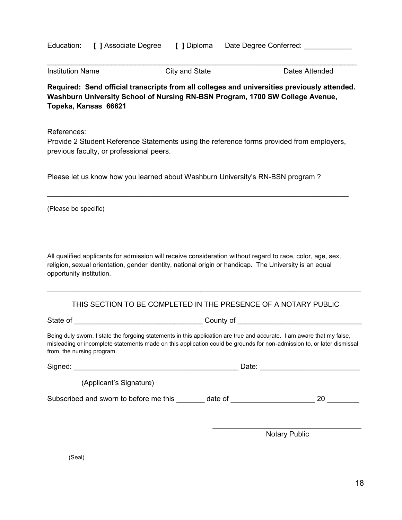|  | Education: [ ] Associate Degree |  | [ ] Diploma Date Degree Conferred: |  |
|--|---------------------------------|--|------------------------------------|--|
|--|---------------------------------|--|------------------------------------|--|

| <b>Institution Name</b> | City and State | Dates Attended |
|-------------------------|----------------|----------------|
|                         |                |                |

**Required: Send official transcripts from all colleges and universities previously attended. Washburn University School of Nursing RN-BSN Program, 1700 SW College Avenue, Topeka, Kansas 66621**

\_\_\_\_\_\_\_\_\_\_\_\_\_\_\_\_\_\_\_\_\_\_\_\_\_\_\_\_\_\_\_\_\_\_\_\_\_\_\_\_\_\_\_\_\_\_\_\_\_\_\_\_\_\_\_\_\_\_\_\_\_\_\_\_\_\_\_\_\_\_\_\_\_\_\_\_\_

References:

Provide 2 Student Reference Statements using the reference forms provided from employers, previous faculty, or professional peers.

\_\_\_\_\_\_\_\_\_\_\_\_\_\_\_\_\_\_\_\_\_\_\_\_\_\_\_\_\_\_\_\_\_\_\_\_\_\_\_\_\_\_\_\_\_\_\_\_\_\_\_\_\_\_\_\_\_\_\_\_\_\_\_\_\_\_\_\_\_\_\_\_\_\_\_

Please let us know how you learned about Washburn University's RN-BSN program ?

(Please be specific)

All qualified applicants for admission will receive consideration without regard to race, color, age, sex, religion, sexual orientation, gender identity, national origin or handicap. The University is an equal opportunity institution.

#### THIS SECTION TO BE COMPLETED IN THE PRESENCE OF A NOTARY PUBLIC

\_\_\_\_\_\_\_\_\_\_\_\_\_\_\_\_\_\_\_\_\_\_\_\_\_\_\_\_\_\_\_\_\_\_\_\_\_\_\_\_\_\_\_\_\_\_\_\_\_\_\_\_\_\_\_\_\_\_\_\_\_\_\_\_\_\_\_\_\_\_\_\_\_\_\_\_\_\_\_\_\_\_\_\_\_\_

State of \_\_\_\_\_\_\_\_\_\_\_\_\_\_\_\_\_\_\_\_\_\_\_\_\_\_\_\_\_\_\_\_ County of \_\_\_\_\_\_\_\_\_\_\_\_\_\_\_\_\_\_\_\_\_\_\_\_\_\_\_\_\_\_\_

Being duly sworn, I state the forgoing statements in this application are true and accurate. I am aware that my false, misleading or incomplete statements made on this application could be grounds for non-admission to, or later dismissal from, the nursing program.

| Signed:                                           | Date: |    |
|---------------------------------------------------|-------|----|
| (Applicant's Signature)                           |       |    |
| Subscribed and sworn to before me this<br>date of |       | 20 |
|                                                   |       |    |

Notary Public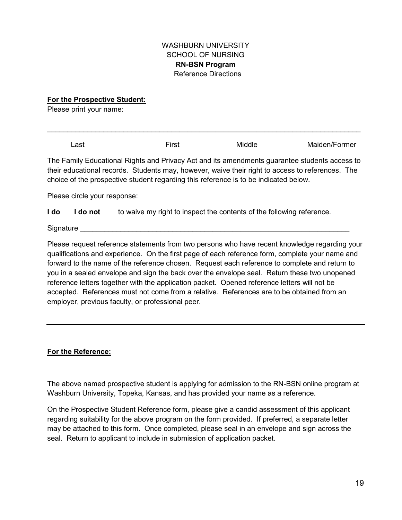#### WASHBURN UNIVERSITY SCHOOL OF NURSING **RN-BSN Program**  Reference Directions

**For the Prospective Student:** 

Please print your name:

Last **Einest** First Middle Maiden/Former The Family Educational Rights and Privacy Act and its amendments guarantee students access to their educational records. Students may, however, waive their right to access to references. The choice of the prospective student regarding this reference is to be indicated below.

\_\_\_\_\_\_\_\_\_\_\_\_\_\_\_\_\_\_\_\_\_\_\_\_\_\_\_\_\_\_\_\_\_\_\_\_\_\_\_\_\_\_\_\_\_\_\_\_\_\_\_\_\_\_\_\_\_\_\_\_\_\_\_\_\_\_\_\_\_\_\_\_\_\_\_\_\_\_

Please circle your response:

**I do** I do not to waive my right to inspect the contents of the following reference.

Signature

Please request reference statements from two persons who have recent knowledge regarding your qualifications and experience. On the first page of each reference form, complete your name and forward to the name of the reference chosen. Request each reference to complete and return to you in a sealed envelope and sign the back over the envelope seal. Return these two unopened reference letters together with the application packet. Opened reference letters will not be accepted. References must not come from a relative. References are to be obtained from an employer, previous faculty, or professional peer.

## **For the Reference:**

The above named prospective student is applying for admission to the RN-BSN online program at Washburn University, Topeka, Kansas, and has provided your name as a reference.

On the Prospective Student Reference form, please give a candid assessment of this applicant regarding suitability for the above program on the form provided. If preferred, a separate letter may be attached to this form. Once completed, please seal in an envelope and sign across the seal. Return to applicant to include in submission of application packet.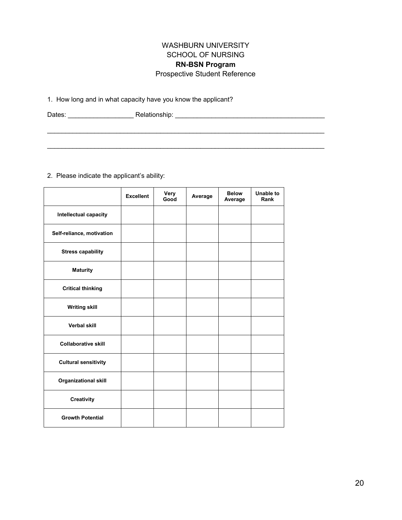## WASHBURN UNIVERSITY SCHOOL OF NURSING **RN-BSN Program**  Prospective Student Reference

1. How long and in what capacity have you know the applicant?

Dates: \_\_\_\_\_\_\_\_\_\_\_\_\_\_\_\_\_\_ Relationship: \_\_\_\_\_\_\_\_\_\_\_\_\_\_\_\_\_\_\_\_\_\_\_\_\_\_\_\_\_\_\_\_\_\_\_\_\_\_\_\_\_

\_\_\_\_\_\_\_\_\_\_\_\_\_\_\_\_\_\_\_\_\_\_\_\_\_\_\_\_\_\_\_\_\_\_\_\_\_\_\_\_\_\_\_\_\_\_\_\_\_\_\_\_\_\_\_\_\_\_\_\_\_\_\_\_\_\_\_\_\_\_\_\_\_\_\_\_

\_\_\_\_\_\_\_\_\_\_\_\_\_\_\_\_\_\_\_\_\_\_\_\_\_\_\_\_\_\_\_\_\_\_\_\_\_\_\_\_\_\_\_\_\_\_\_\_\_\_\_\_\_\_\_\_\_\_\_\_\_\_\_\_\_\_\_\_\_\_\_\_\_\_\_\_

2. Please indicate the applicant's ability:

|                             | <b>Excellent</b> | Very<br>Good | Average | <b>Below</b><br>Average | <b>Unable to</b><br>Rank |
|-----------------------------|------------------|--------------|---------|-------------------------|--------------------------|
| Intellectual capacity       |                  |              |         |                         |                          |
| Self-reliance, motivation   |                  |              |         |                         |                          |
| <b>Stress capability</b>    |                  |              |         |                         |                          |
| <b>Maturity</b>             |                  |              |         |                         |                          |
| <b>Critical thinking</b>    |                  |              |         |                         |                          |
| <b>Writing skill</b>        |                  |              |         |                         |                          |
| <b>Verbal skill</b>         |                  |              |         |                         |                          |
| <b>Collaborative skill</b>  |                  |              |         |                         |                          |
| <b>Cultural sensitivity</b> |                  |              |         |                         |                          |
| <b>Organizational skill</b> |                  |              |         |                         |                          |
| Creativity                  |                  |              |         |                         |                          |
| <b>Growth Potential</b>     |                  |              |         |                         |                          |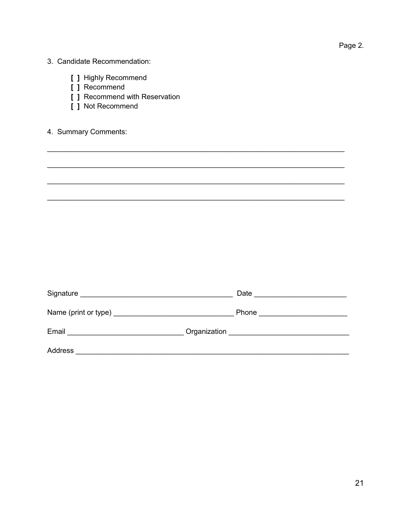| × |  |
|---|--|

| 3. Candidate Recommendation: |
|------------------------------|
|                              |

- [ ] Highly Recommend
- [ ] Recommend
- [ ] Recommend with Reservation
- [ ] Not Recommend

## 4. Summary Comments:

| Email<br><u> 1980 - Jan Barnett, fransk politik (d. 1980)</u> |  |
|---------------------------------------------------------------|--|
| Address                                                       |  |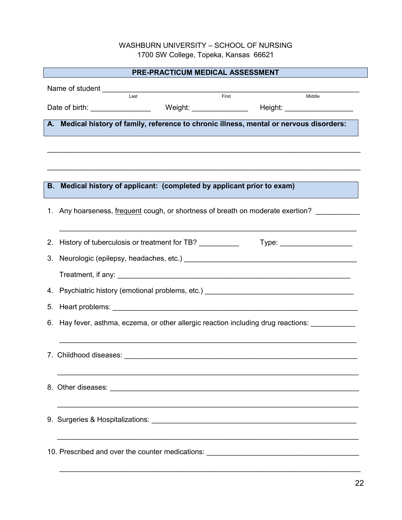## WASHBURN UNIVERSITY – SCHOOL OF NURSING 1700 SW College, Topeka, Kansas 66621

| PRE-PRACTICUM MEDICAL ASSESSMENT                                                               |  |  |  |
|------------------------------------------------------------------------------------------------|--|--|--|
|                                                                                                |  |  |  |
| $\overline{\phantom{0}}$ Last<br>First<br>Middle                                               |  |  |  |
|                                                                                                |  |  |  |
| A. Medical history of family, reference to chronic illness, mental or nervous disorders:       |  |  |  |
|                                                                                                |  |  |  |
|                                                                                                |  |  |  |
|                                                                                                |  |  |  |
|                                                                                                |  |  |  |
| B. Medical history of applicant: (completed by applicant prior to exam)                        |  |  |  |
| 1. Any hoarseness, frequent cough, or shortness of breath on moderate exertion?                |  |  |  |
| 2. History of tuberculosis or treatment for TB? _________________________________              |  |  |  |
| 3.                                                                                             |  |  |  |
|                                                                                                |  |  |  |
|                                                                                                |  |  |  |
|                                                                                                |  |  |  |
| 6. Hay fever, asthma, eczema, or other allergic reaction including drug reactions: ___________ |  |  |  |
|                                                                                                |  |  |  |
| 7. Childhood diseases:                                                                         |  |  |  |
|                                                                                                |  |  |  |
|                                                                                                |  |  |  |
|                                                                                                |  |  |  |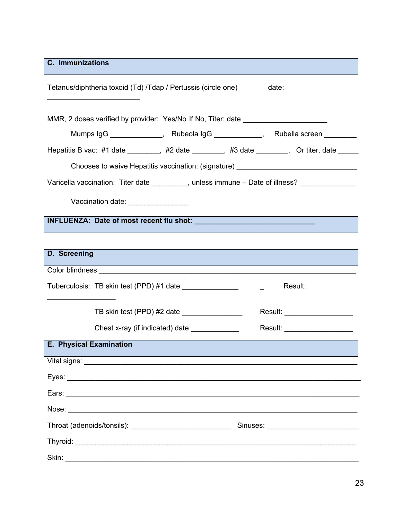**C. Immunizations**

| Tetanus/diphtheria toxoid (Td) /Tdap / Pertussis (circle one)                                                                                                                                                                                | date:                          |
|----------------------------------------------------------------------------------------------------------------------------------------------------------------------------------------------------------------------------------------------|--------------------------------|
| MMR, 2 doses verified by provider: Yes/No If No, Titer: date ___________________                                                                                                                                                             |                                |
| Mumps IgG ______________, Rubeola IgG ____________, Rubella screen ________                                                                                                                                                                  |                                |
| Hepatitis B vac: #1 date ________, #2 date _______, #3 date ______, Or titer, date ____                                                                                                                                                      |                                |
| Chooses to waive Hepatitis vaccination: (signature) ____________________________                                                                                                                                                             |                                |
| Varicella vaccination: Titer date _________, unless immune - Date of illness? _____________                                                                                                                                                  |                                |
| Vaccination date: ________________                                                                                                                                                                                                           |                                |
|                                                                                                                                                                                                                                              |                                |
|                                                                                                                                                                                                                                              |                                |
| D. Screening                                                                                                                                                                                                                                 |                                |
| <b>Contract Contract Contract Contract Contract Contract Contract Contract Contract Contract Contract Contract Co</b><br>Color blindness <b>color</b> contains a contact the color blindness and contains a contact of the color color color |                                |
|                                                                                                                                                                                                                                              | Result:                        |
| TB skin test (PPD) #2 date ________________                                                                                                                                                                                                  | Result: ______________________ |
| Chest x-ray (if indicated) date                                                                                                                                                                                                              | Result: _____________________  |
| E. Physical Examination                                                                                                                                                                                                                      |                                |
| Vital signs:                                                                                                                                                                                                                                 |                                |
|                                                                                                                                                                                                                                              |                                |
|                                                                                                                                                                                                                                              |                                |
|                                                                                                                                                                                                                                              |                                |
|                                                                                                                                                                                                                                              |                                |
|                                                                                                                                                                                                                                              |                                |
| Skin:                                                                                                                                                                                                                                        |                                |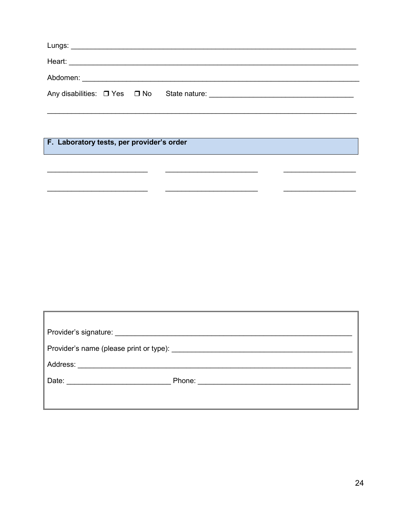F. Laboratory tests, per provider's order

| Phone: 2008 2009 2010 2021 2022 2023 2024 2022 2022 2023 2024 2022 2023 2024 2022 2023 2024 2022 2023 2024 20 |  |  |
|---------------------------------------------------------------------------------------------------------------|--|--|
|                                                                                                               |  |  |
|                                                                                                               |  |  |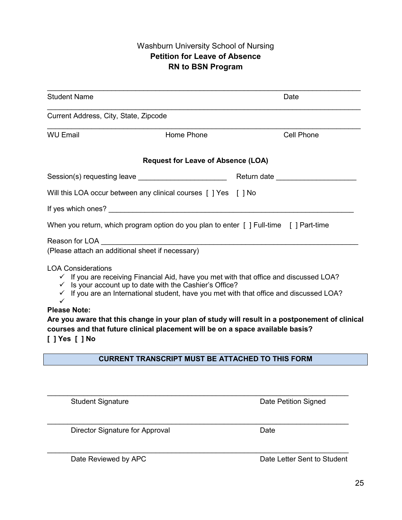## Washburn University School of Nursing **Petition for Leave of Absence RN to BSN Program**

| <b>Student Name</b>                                                                                                                                                                                                                                                                                                                                                                                                                                                                                                        |                                       | Date       |  |  |  |
|----------------------------------------------------------------------------------------------------------------------------------------------------------------------------------------------------------------------------------------------------------------------------------------------------------------------------------------------------------------------------------------------------------------------------------------------------------------------------------------------------------------------------|---------------------------------------|------------|--|--|--|
|                                                                                                                                                                                                                                                                                                                                                                                                                                                                                                                            | Current Address, City, State, Zipcode |            |  |  |  |
| <b>WU Email</b>                                                                                                                                                                                                                                                                                                                                                                                                                                                                                                            | Home Phone                            | Cell Phone |  |  |  |
| <b>Request for Leave of Absence (LOA)</b>                                                                                                                                                                                                                                                                                                                                                                                                                                                                                  |                                       |            |  |  |  |
|                                                                                                                                                                                                                                                                                                                                                                                                                                                                                                                            |                                       |            |  |  |  |
| Will this LOA occur between any clinical courses [ ] Yes [ ] No                                                                                                                                                                                                                                                                                                                                                                                                                                                            |                                       |            |  |  |  |
|                                                                                                                                                                                                                                                                                                                                                                                                                                                                                                                            |                                       |            |  |  |  |
| When you return, which program option do you plan to enter [ ] Full-time [ ] Part-time                                                                                                                                                                                                                                                                                                                                                                                                                                     |                                       |            |  |  |  |
| (Please attach an additional sheet if necessary)                                                                                                                                                                                                                                                                                                                                                                                                                                                                           |                                       |            |  |  |  |
| <b>LOA Considerations</b><br>$\checkmark$ If you are receiving Financial Aid, have you met with that office and discussed LOA?<br>$\checkmark$ Is your account up to date with the Cashier's Office?<br>$\checkmark$ If you are an International student, have you met with that office and discussed LOA?<br>✓<br><b>Please Note:</b><br>Are you aware that this change in your plan of study will result in a postponement of clinical<br>courses and that future clinical placement will be on a space available basis? |                                       |            |  |  |  |
| I 1 Yes [ 1 No                                                                                                                                                                                                                                                                                                                                                                                                                                                                                                             |                                       |            |  |  |  |
| <b>CURRENT TRANSCRIPT MUST BE ATTACHED TO THIS FORM</b>                                                                                                                                                                                                                                                                                                                                                                                                                                                                    |                                       |            |  |  |  |

\_\_\_\_\_\_\_\_\_\_\_\_\_\_\_\_\_\_\_\_\_\_\_\_\_\_\_\_\_\_\_\_\_\_\_\_\_\_\_\_\_\_\_\_\_\_\_\_\_\_\_\_\_\_\_\_\_\_\_\_\_\_\_\_\_\_\_\_\_\_\_\_\_\_\_

\_\_\_\_\_\_\_\_\_\_\_\_\_\_\_\_\_\_\_\_\_\_\_\_\_\_\_\_\_\_\_\_\_\_\_\_\_\_\_\_\_\_\_\_\_\_\_\_\_\_\_\_\_\_\_\_\_\_\_\_\_\_\_\_\_\_\_\_\_\_\_\_\_\_\_

\_\_\_\_\_\_\_\_\_\_\_\_\_\_\_\_\_\_\_\_\_\_\_\_\_\_\_\_\_\_\_\_\_\_\_\_\_\_\_\_\_\_\_\_\_\_\_\_\_\_\_\_\_\_\_\_\_\_\_\_\_\_\_\_\_\_\_\_\_\_\_\_\_\_\_

Student Signature Date Petition Signed

Director Signature for Approval Director Signature for Approval

Date Reviewed by APC **Date Letter Sent to Student**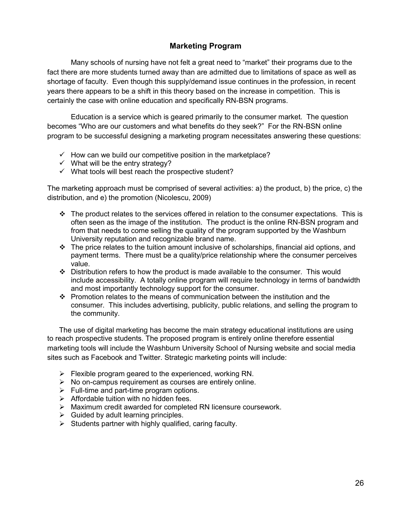## **Marketing Program**

Many schools of nursing have not felt a great need to "market" their programs due to the fact there are more students turned away than are admitted due to limitations of space as well as shortage of faculty. Even though this supply/demand issue continues in the profession, in recent years there appears to be a shift in this theory based on the increase in competition. This is certainly the case with online education and specifically RN-BSN programs.

 Education is a service which is geared primarily to the consumer market. The question becomes "Who are our customers and what benefits do they seek?" For the RN-BSN online program to be successful designing a marketing program necessitates answering these questions:

- $\checkmark$  How can we build our competitive position in the marketplace?
- $\checkmark$  What will be the entry strategy?
- $\checkmark$  What tools will best reach the prospective student?

The marketing approach must be comprised of several activities: a) the product, b) the price, c) the distribution, and e) the promotion (Nicolescu, 2009)

- $\cdot \cdot$  The product relates to the services offered in relation to the consumer expectations. This is often seen as the image of the institution. The product is the online RN-BSN program and from that needs to come selling the quality of the program supported by the Washburn University reputation and recognizable brand name.
- $\div$  The price relates to the tuition amount inclusive of scholarships, financial aid options, and payment terms. There must be a quality/price relationship where the consumer perceives value.
- $\div$  Distribution refers to how the product is made available to the consumer. This would include accessibility. A totally online program will require technology in terms of bandwidth and most importantly technology support for the consumer.
- Promotion relates to the means of communication between the institution and the consumer. This includes advertising, publicity, public relations, and selling the program to the community.

The use of digital marketing has become the main strategy educational institutions are using to reach prospective students. The proposed program is entirely online therefore essential marketing tools will include the Washburn University School of Nursing website and social media sites such as Facebook and Twitter. Strategic marketing points will include:

- $\triangleright$  Flexible program geared to the experienced, working RN.
- $\triangleright$  No on-campus requirement as courses are entirely online.
- $\triangleright$  Full-time and part-time program options.
- $\triangleright$  Affordable tuition with no hidden fees.
- $\triangleright$  Maximum credit awarded for completed RN licensure coursework.
- $\triangleright$  Guided by adult learning principles.
- $\triangleright$  Students partner with highly qualified, caring faculty.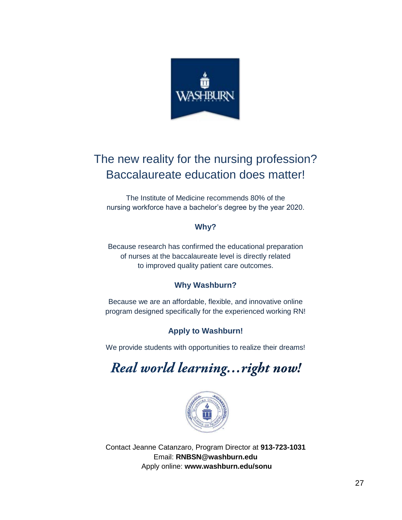

## The new reality for the nursing profession? Baccalaureate education does matter!

The Institute of Medicine recommends 80% of the nursing workforce have a bachelor's degree by the year 2020.

## **Why?**

Because research has confirmed the educational preparation of nurses at the baccalaureate level is directly related to improved quality patient care outcomes.

## **Why Washburn?**

Because we are an affordable, flexible, and innovative online program designed specifically for the experienced working RN!

## **Apply to Washburn!**

We provide students with opportunities to realize their dreams!

Real world learning... right now!



Contact Jeanne Catanzaro, Program Director at **913-723-1031** Email: **RNBSN@washburn.edu** Apply online: **www.washburn.edu/sonu**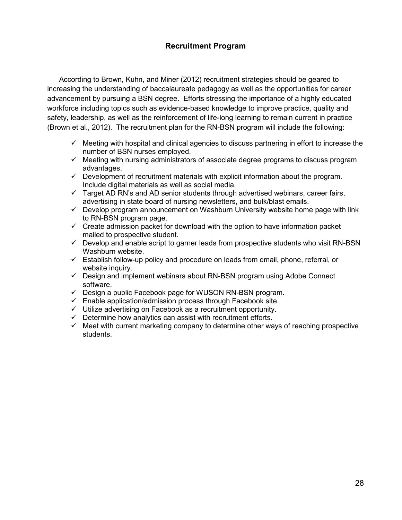## **Recruitment Program**

According to Brown, Kuhn, and Miner (2012) recruitment strategies should be geared to increasing the understanding of baccalaureate pedagogy as well as the opportunities for career advancement by pursuing a BSN degree. Efforts stressing the importance of a highly educated workforce including topics such as evidence-based knowledge to improve practice, quality and safety, leadership, as well as the reinforcement of life-long learning to remain current in practice (Brown et al., 2012). The recruitment plan for the RN-BSN program will include the following:

- $\checkmark$  Meeting with hospital and clinical agencies to discuss partnering in effort to increase the number of BSN nurses employed.
- $\checkmark$  Meeting with nursing administrators of associate degree programs to discuss program advantages.
- $\checkmark$  Development of recruitment materials with explicit information about the program. Include digital materials as well as social media.
- $\checkmark$  Target AD RN's and AD senior students through advertised webinars, career fairs, advertising in state board of nursing newsletters, and bulk/blast emails.
- $\checkmark$  Develop program announcement on Washburn University website home page with link to RN-BSN program page.
- $\checkmark$  Create admission packet for download with the option to have information packet mailed to prospective student.
- $\checkmark$  Develop and enable script to garner leads from prospective students who visit RN-BSN Washburn website.
- $\checkmark$  Establish follow-up policy and procedure on leads from email, phone, referral, or website inquiry.
- $\checkmark$  Design and implement webinars about RN-BSN program using Adobe Connect software.
- $\checkmark$  Design a public Facebook page for WUSON RN-BSN program.
- $\checkmark$  Enable application/admission process through Facebook site.
- $\checkmark$  Utilize advertising on Facebook as a recruitment opportunity.
- $\checkmark$  Determine how analytics can assist with recruitment efforts.
- $\checkmark$  Meet with current marketing company to determine other ways of reaching prospective students.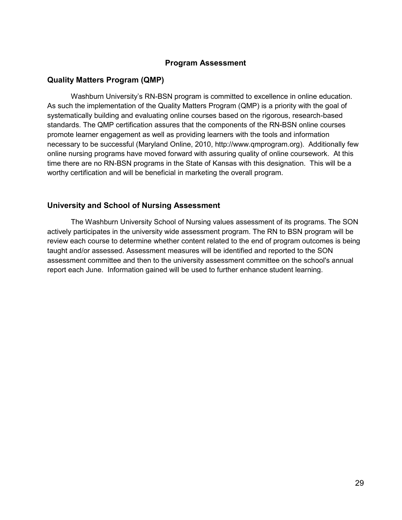#### **Program Assessment**

#### **Quality Matters Program (QMP)**

Washburn University's RN-BSN program is committed to excellence in online education. As such the implementation of the Quality Matters Program (QMP) is a priority with the goal of systematically building and evaluating online courses based on the rigorous, research-based standards. The QMP certification assures that the components of the RN-BSN online courses promote learner engagement as well as providing learners with the tools and information necessary to be successful (Maryland Online, 2010, http://www.qmprogram.org). Additionally few online nursing programs have moved forward with assuring quality of online coursework. At this time there are no RN-BSN programs in the State of Kansas with this designation. This will be a worthy certification and will be beneficial in marketing the overall program.

#### **University and School of Nursing Assessment**

The Washburn University School of Nursing values assessment of its programs. The SON actively participates in the university wide assessment program. The RN to BSN program will be review each course to determine whether content related to the end of program outcomes is being taught and/or assessed. Assessment measures will be identified and reported to the SON assessment committee and then to the university assessment committee on the school's annual report each June. Information gained will be used to further enhance student learning.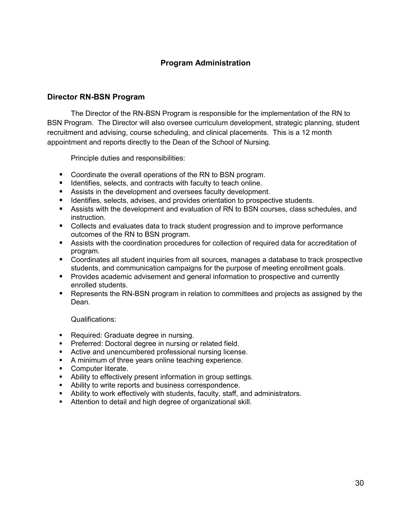## **Program Administration**

#### **Director RN-BSN Program**

The Director of the RN-BSN Program is responsible for the implementation of the RN to BSN Program. The Director will also oversee curriculum development, strategic planning, student recruitment and advising, course scheduling, and clinical placements. This is a 12 month appointment and reports directly to the Dean of the School of Nursing.

Principle duties and responsibilities:

- Coordinate the overall operations of the RN to BSN program.
- **If Identifies, selects, and contracts with faculty to teach online.**
- Assists in the development and oversees faculty development.
- **IDENTIFIER** Identifies, selects, advises, and provides orientation to prospective students.
- Assists with the development and evaluation of RN to BSN courses, class schedules, and instruction.
- Collects and evaluates data to track student progression and to improve performance outcomes of the RN to BSN program.
- Assists with the coordination procedures for collection of required data for accreditation of program.
- Coordinates all student inquiries from all sources, manages a database to track prospective students, and communication campaigns for the purpose of meeting enrollment goals.
- **Provides academic advisement and general information to prospective and currently** enrolled students.
- Represents the RN-BSN program in relation to committees and projects as assigned by the Dean.

Qualifications:

- **Required: Graduate degree in nursing.**
- **Preferred: Doctoral degree in nursing or related field.**
- **EXECT:** Active and unencumbered professional nursing license.
- A minimum of three years online teaching experience.
- **Computer literate.**
- Ability to effectively present information in group settings.
- Ability to write reports and business correspondence.
- Ability to work effectively with students, faculty, staff, and administrators.
- Attention to detail and high degree of organizational skill.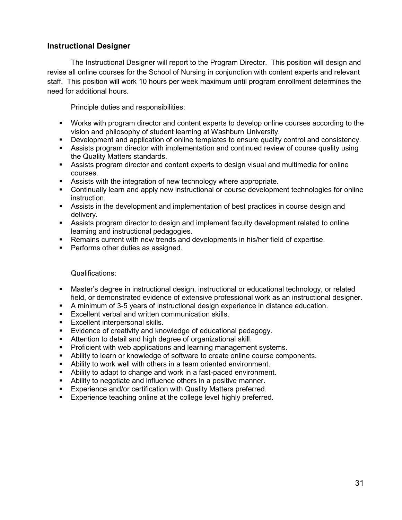## **Instructional Designer**

The Instructional Designer will report to the Program Director. This position will design and revise all online courses for the School of Nursing in conjunction with content experts and relevant staff. This position will work 10 hours per week maximum until program enrollment determines the need for additional hours.

Principle duties and responsibilities:

- Works with program director and content experts to develop online courses according to the vision and philosophy of student learning at Washburn University.
- Development and application of online templates to ensure quality control and consistency.
- Assists program director with implementation and continued review of course quality using the Quality Matters standards.
- Assists program director and content experts to design visual and multimedia for online courses.
- Assists with the integration of new technology where appropriate.
- Continually learn and apply new instructional or course development technologies for online instruction.
- Assists in the development and implementation of best practices in course design and delivery.
- Assists program director to design and implement faculty development related to online learning and instructional pedagogies.
- Remains current with new trends and developments in his/her field of expertise.
- **Performs other duties as assigned.**

#### Qualifications:

- Master's degree in instructional design, instructional or educational technology, or related field, or demonstrated evidence of extensive professional work as an instructional designer.
- A minimum of 3-5 years of instructional design experience in distance education.
- **Excellent verbal and written communication skills.**
- **Excellent interpersonal skills.**
- **Evidence of creativity and knowledge of educational pedagogy.**
- Attention to detail and high degree of organizational skill.
- **Proficient with web applications and learning management systems.**
- Ability to learn or knowledge of software to create online course components.
- Ability to work well with others in a team oriented environment.
- Ability to adapt to change and work in a fast-paced environment.
- Ability to negotiate and influence others in a positive manner.
- **Experience and/or certification with Quality Matters preferred.**
- Experience teaching online at the college level highly preferred.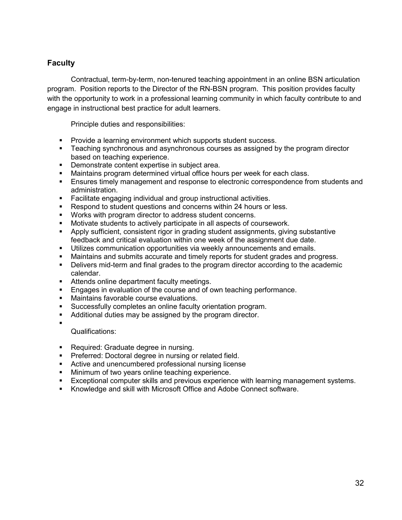## **Faculty**

Contractual, term-by-term, non-tenured teaching appointment in an online BSN articulation program. Position reports to the Director of the RN-BSN program. This position provides faculty with the opportunity to work in a professional learning community in which faculty contribute to and engage in instructional best practice for adult learners.

Principle duties and responsibilities:

- **Provide a learning environment which supports student success.**
- **Teaching synchronous and asynchronous courses as assigned by the program director** based on teaching experience.
- **Demonstrate content expertise in subject area.**
- **Maintains program determined virtual office hours per week for each class.**
- Ensures timely management and response to electronic correspondence from students and administration.
- **Facilitate engaging individual and group instructional activities.**
- Respond to student questions and concerns within 24 hours or less.
- Works with program director to address student concerns.
- Motivate students to actively participate in all aspects of coursework.
- Apply sufficient, consistent rigor in grading student assignments, giving substantive feedback and critical evaluation within one week of the assignment due date.
- Utilizes communication opportunities via weekly announcements and emails.
- Maintains and submits accurate and timely reports for student grades and progress.
- Delivers mid-term and final grades to the program director according to the academic calendar.
- **Attends online department faculty meetings.**
- **Engages in evaluation of the course and of own teaching performance.**<br>
In Maintains favorable course evaluations
- Maintains favorable course evaluations.
- Successfully completes an online faculty orientation program.
- Additional duties may be assigned by the program director.

Qualifications:

 $\blacksquare$ 

- Required: Graduate degree in nursing.
- **Preferred: Doctoral degree in nursing or related field.**
- Active and unencumbered professional nursing license
- **Minimum of two years online teaching experience.**
- **Exceptional computer skills and previous experience with learning management systems.**
- Knowledge and skill with Microsoft Office and Adobe Connect software.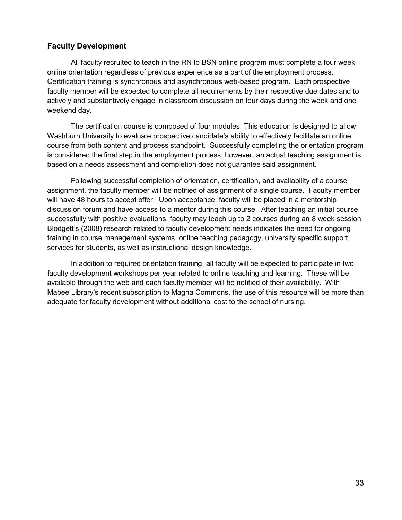## **Faculty Development**

 All faculty recruited to teach in the RN to BSN online program must complete a four week online orientation regardless of previous experience as a part of the employment process. Certification training is synchronous and asynchronous web-based program. Each prospective faculty member will be expected to complete all requirements by their respective due dates and to actively and substantively engage in classroom discussion on four days during the week and one weekend day.

The certification course is composed of four modules. This education is designed to allow Washburn University to evaluate prospective candidate's ability to effectively facilitate an online course from both content and process standpoint. Successfully completing the orientation program is considered the final step in the employment process, however, an actual teaching assignment is based on a needs assessment and completion does not guarantee said assignment.

Following successful completion of orientation, certification, and availability of a course assignment, the faculty member will be notified of assignment of a single course. Faculty member will have 48 hours to accept offer. Upon acceptance, faculty will be placed in a mentorship discussion forum and have access to a mentor during this course. After teaching an initial course successfully with positive evaluations, faculty may teach up to 2 courses during an 8 week session. Blodgett's (2008) research related to faculty development needs indicates the need for ongoing training in course management systems, online teaching pedagogy, university specific support services for students, as well as instructional design knowledge.

In addition to required orientation training, all faculty will be expected to participate in two faculty development workshops per year related to online teaching and learning. These will be available through the web and each faculty member will be notified of their availability. With Mabee Library's recent subscription to Magna Commons, the use of this resource will be more than adequate for faculty development without additional cost to the school of nursing.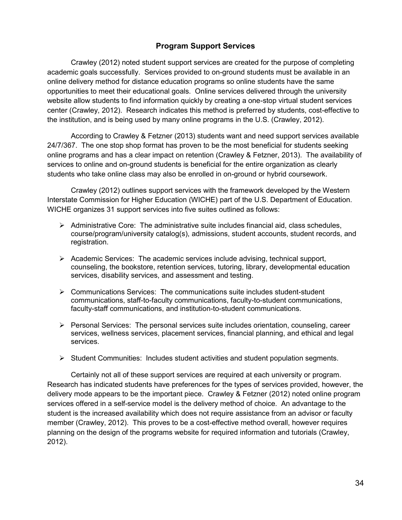## **Program Support Services**

 Crawley (2012) noted student support services are created for the purpose of completing academic goals successfully. Services provided to on-ground students must be available in an online delivery method for distance education programs so online students have the same opportunities to meet their educational goals. Online services delivered through the university website allow students to find information quickly by creating a one-stop virtual student services center (Crawley, 2012). Research indicates this method is preferred by students, cost-effective to the institution, and is being used by many online programs in the U.S. (Crawley, 2012).

 According to Crawley & Fetzner (2013) students want and need support services available 24/7/367. The one stop shop format has proven to be the most beneficial for students seeking online programs and has a clear impact on retention (Crawley & Fetzner, 2013). The availability of services to online and on-ground students is beneficial for the entire organization as clearly students who take online class may also be enrolled in on-ground or hybrid coursework.

 Crawley (2012) outlines support services with the framework developed by the Western Interstate Commission for Higher Education (WICHE) part of the U.S. Department of Education. WICHE organizes 31 support services into five suites outlined as follows:

- $\triangleright$  Administrative Core: The administrative suite includes financial aid, class schedules, course/program/university catalog(s), admissions, student accounts, student records, and registration.
- $\triangleright$  Academic Services: The academic services include advising, technical support, counseling, the bookstore, retention services, tutoring, library, developmental education services, disability services, and assessment and testing.
- $\triangleright$  Communications Services: The communications suite includes student-student communications, staff-to-faculty communications, faculty-to-student communications, faculty-staff communications, and institution-to-student communications.
- $\triangleright$  Personal Services: The personal services suite includes orientation, counseling, career services, wellness services, placement services, financial planning, and ethical and legal services.
- $\triangleright$  Student Communities: Includes student activities and student population segments.

 Certainly not all of these support services are required at each university or program. Research has indicated students have preferences for the types of services provided, however, the delivery mode appears to be the important piece. Crawley & Fetzner (2012) noted online program services offered in a self-service model is the delivery method of choice. An advantage to the student is the increased availability which does not require assistance from an advisor or faculty member (Crawley, 2012). This proves to be a cost-effective method overall, however requires planning on the design of the programs website for required information and tutorials (Crawley, 2012).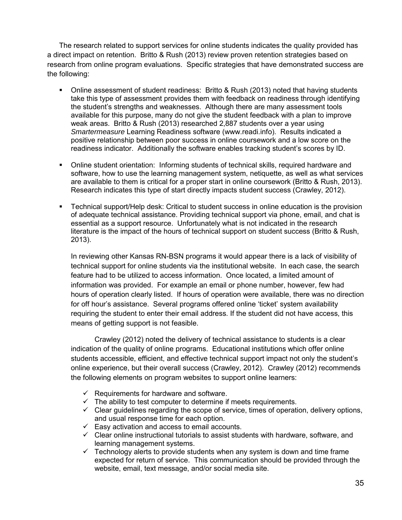The research related to support services for online students indicates the quality provided has a direct impact on retention. Britto & Rush (2013) review proven retention strategies based on research from online program evaluations. Specific strategies that have demonstrated success are the following:

- Online assessment of student readiness: Britto & Rush (2013) noted that having students take this type of assessment provides them with feedback on readiness through identifying the student's strengths and weaknesses. Although there are many assessment tools available for this purpose, many do not give the student feedback with a plan to improve weak areas. Britto & Rush (2013) researched 2,887 students over a year using *Smartermeasure* Learning Readiness software (www.readi.info). Results indicated a positive relationship between poor success in online coursework and a low score on the readiness indicator. Additionally the software enables tracking student's scores by ID.
- Online student orientation: Informing students of technical skills, required hardware and software, how to use the learning management system, netiquette, as well as what services are available to them is critical for a proper start in online coursework (Britto & Rush, 2013). Research indicates this type of start directly impacts student success (Crawley, 2012).
- Technical support/Help desk: Critical to student success in online education is the provision of adequate technical assistance. Providing technical support via phone, email, and chat is essential as a support resource. Unfortunately what is not indicated in the research literature is the impact of the hours of technical support on student success (Britto & Rush, 2013).

In reviewing other Kansas RN-BSN programs it would appear there is a lack of visibility of technical support for online students via the institutional website. In each case, the search feature had to be utilized to access information. Once located, a limited amount of information was provided. For example an email or phone number, however, few had hours of operation clearly listed. If hours of operation were available, there was no direction for off hour's assistance. Several programs offered online 'ticket' system availability requiring the student to enter their email address. If the student did not have access, this means of getting support is not feasible.

 Crawley (2012) noted the delivery of technical assistance to students is a clear indication of the quality of online programs. Educational institutions which offer online students accessible, efficient, and effective technical support impact not only the student's online experience, but their overall success (Crawley, 2012). Crawley (2012) recommends the following elements on program websites to support online learners:

- $\checkmark$  Requirements for hardware and software.
- $\checkmark$  The ability to test computer to determine if meets requirements.
- $\checkmark$  Clear quidelines regarding the scope of service, times of operation, delivery options, and usual response time for each option.
- $\checkmark$  Easy activation and access to email accounts.
- $\checkmark$  Clear online instructional tutorials to assist students with hardware, software, and learning management systems.
- $\checkmark$  Technology alerts to provide students when any system is down and time frame expected for return of service. This communication should be provided through the website, email, text message, and/or social media site.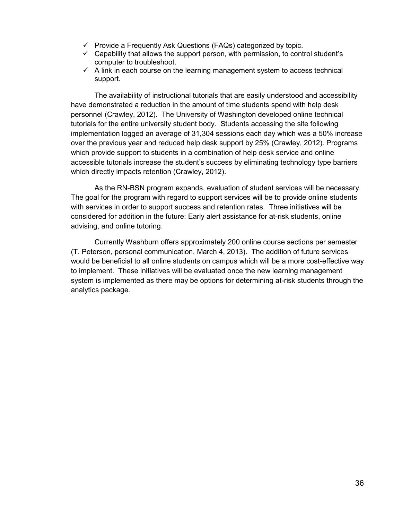- $\checkmark$  Provide a Frequently Ask Questions (FAQs) categorized by topic.
- $\checkmark$  Capability that allows the support person, with permission, to control student's computer to troubleshoot.
- $\checkmark$  A link in each course on the learning management system to access technical support.

The availability of instructional tutorials that are easily understood and accessibility have demonstrated a reduction in the amount of time students spend with help desk personnel (Crawley, 2012). The University of Washington developed online technical tutorials for the entire university student body. Students accessing the site following implementation logged an average of 31,304 sessions each day which was a 50% increase over the previous year and reduced help desk support by 25% (Crawley, 2012). Programs which provide support to students in a combination of help desk service and online accessible tutorials increase the student's success by eliminating technology type barriers which directly impacts retention (Crawley, 2012).

 As the RN-BSN program expands, evaluation of student services will be necessary. The goal for the program with regard to support services will be to provide online students with services in order to support success and retention rates. Three initiatives will be considered for addition in the future: Early alert assistance for at-risk students, online advising, and online tutoring.

Currently Washburn offers approximately 200 online course sections per semester (T. Peterson, personal communication, March 4, 2013). The addition of future services would be beneficial to all online students on campus which will be a more cost-effective way to implement. These initiatives will be evaluated once the new learning management system is implemented as there may be options for determining at-risk students through the analytics package.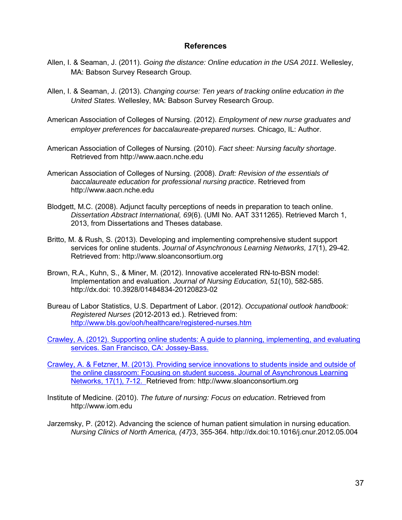#### **References**

- Allen, I. & Seaman, J. (2011). *Going the distance: Online education in the USA 2011.* Wellesley, MA: Babson Survey Research Group.
- Allen, I. & Seaman, J. (2013). *Changing course: Ten years of tracking online education in the United States.* Wellesley, MA: Babson Survey Research Group.
- American Association of Colleges of Nursing. (2012). *Employment of new nurse graduates and employer preferences for baccalaureate-prepared nurses.* Chicago, IL: Author.
- American Association of Colleges of Nursing. (2010). *Fact sheet: Nursing faculty shortage*. Retrieved from http://www.aacn.nche.edu
- American Association of Colleges of Nursing. (2008). *Draft: Revision of the essentials of baccalaureate education for professional nursing practice*. Retrieved from http://www.aacn.nche.edu
- Blodgett, M.C. (2008). Adjunct faculty perceptions of needs in preparation to teach online. *Dissertation Abstract International, 69*(6). (UMI No. AAT 3311265). Retrieved March 1, 2013, from Dissertations and Theses database.
- Britto, M. & Rush, S. (2013). Developing and implementing comprehensive student support services for online students. *Journal of Asynchronous Learning Networks, 17*(1), 29-42. Retrieved from: http://www.sloanconsortium.org
- Brown, R.A., Kuhn, S., & Miner, M. (2012). Innovative accelerated RN-to-BSN model: Implementation and evaluation. *Journal of Nursing Education, 51*(10), 582-585. http://dx.doi: 10.3928/01484834-20120823-02
- Bureau of Labor Statistics, U.S. Department of Labor. (2012). *Occupational outlook handbook: Registered Nurses* (2012-2013 ed.). Retrieved from: <http://www.bls.gov/ooh/healthcare/registered-nurses.htm>

Crawley, A. (2012). Supporting online students: A guide to planning, implementing, and evaluating services. San Francisco, CA: Jossey-Bass.

Crawley, A. & Fetzner, M. (2013). Providing service innovations to students inside and outside of the online classroom: Focusing on student success. Journal of Asynchronous Learning Networks, 17(1), 7-12. Retrieved from: http://www.sloanconsortium.org

- Institute of Medicine. (2010). *The future of nursing: Focus on education*. Retrieved from http://www.iom.edu
- Jarzemsky, P. (2012). Advancing the science of human patient simulation in nursing education. *Nursing Clinics of North America, (47)*3, 355-364. http://dx.doi:10.1016/j.cnur.2012.05.004